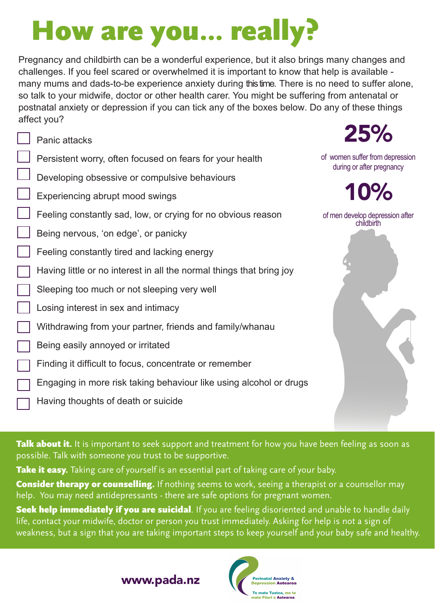## How are you... really?

Pregnancy and childbirth can be a wonderful experience, but it also brings many changes and challenges. If you feel scared or overwhelmed it is important to know that help is available many mums and dads-to-be experience anxiety during this time. There is no need to suffer alone, so talk to your midwife, doctor or other health carer. You might be suffering from antenatal or postnatal anxiety or depression if you can tick any of the boxes below. Do any of these things affect you?

25%

of women suffer from depression during or after pregnancy

10% of men develop depression after childbirth

• • • • • • • • • • • • • • Panic attacks Persistent worry, often focused on fears for your health Developing obsessive or compulsive behaviours Experiencing abrupt mood swings Feeling constantly sad, low, or crying for no obvious reason Being nervous, 'on edge', or panicky Feeling constantly tired and lacking energy Having little or no interest in all the normal things that bring joy Sleeping too much or not sleeping very well Losing interest in sex and intimacy Withdrawing from your partner, friends and family/whanau Being easily annoyed or irritated Finding it difficult to focus, concentrate or remember Engaging in more risk taking behaviour like using alcohol or drugs Having thoughts of death or suicide

Talk about it. It is important to seek support and treatment for how you have been feeling as soon as possible. Talk with someone you trust to be supportive.

Take it easy. Taking care of yourself is an essential part of taking care of your baby.

**Consider therapy or counselling.** If nothing seems to work, seeing a therapist or a counsellor may help. You may need antidepressants - there are safe options for pregnant women.

Seek help immediately if you are suicidal. If you are feeling disoriented and unable to handle daily life, contact your midwife, doctor or person you trust immediately. Asking for help is not a sign of weakness, but a sign that you are taking important steps to keep yourself and your baby safe and healthy.

www.pada.nz